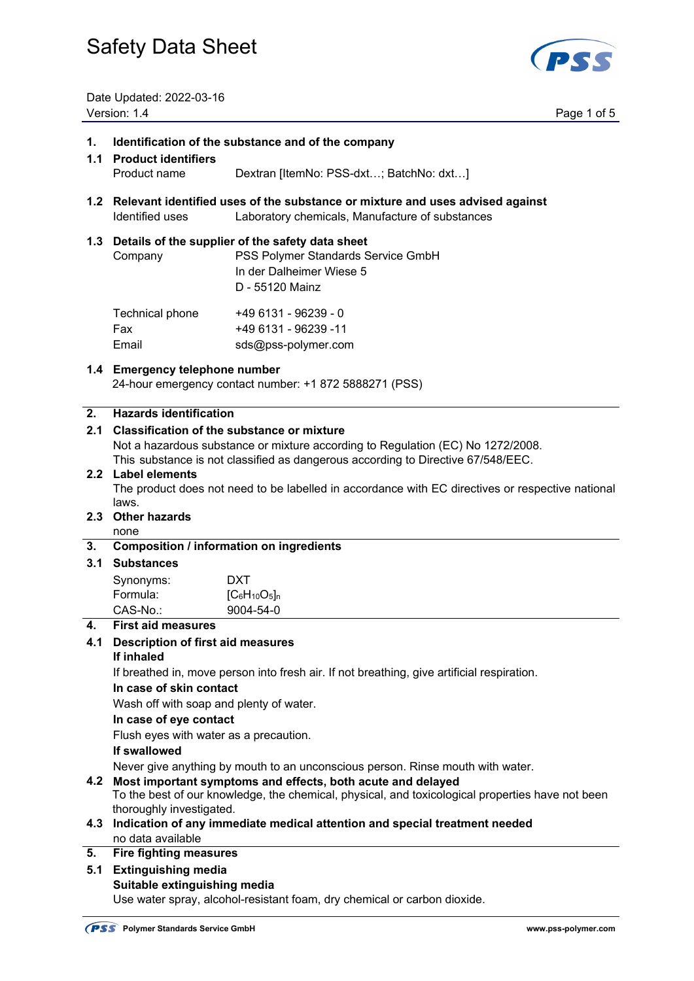

Date Updated: 2022-03-16 Version: 1.4 Page 1 of 5

### **1. Identification of the substance and of the company**

## **1.1 Product identifiers** Product name Dextran [ItemNo: PSS-dxt…; BatchNo: dxt…]

**1.2 Relevant identified uses of the substance or mixture and uses advised against**  Identified uses Laboratory chemicals, Manufacture of substances

#### **1.3 Details of the supplier of the safety data sheet**

Company PSS Polymer Standards Service GmbH In der Dalheimer Wiese 5 D - 55120 Mainz  $T$ echnical phone  $+40.6131$   $0.6230$   $0.9939$ 

| Technical priorie | +49 0 131 - 90239 - U |
|-------------------|-----------------------|
| Fax               | +49 6131 - 96239 -11  |
| Email             | sds@pss-polymer.com   |

## **1.4 Emergency telephone number**

24-hour emergency contact number: +1 872 5888271 (PSS)

## **2. Hazards identification**

## **2.1 Classification of the substance or mixture**

Not a hazardous substance or mixture according to Regulation (EC) No 1272/2008.

This substance is not classified as dangerous according to Directive 67/548/EEC.

## **2.2 Label elements**

The product does not need to be labelled in accordance with EC directives or respective national laws.

## **2.3 Other hazards**

### none

## **3. Composition / information on ingredients**

### **3.1 Substances**

| Synonyms: | DXT                |
|-----------|--------------------|
| Formula:  | $[C_6H_{10}O_5]_n$ |
| CAS-No.:  | 9004-54-0          |

### **4. First aid measures**

## **4.1 Description of first aid measures**

## **If inhaled**

If breathed in, move person into fresh air. If not breathing, give artificial respiration.

### **In case of skin contact**

Wash off with soap and plenty of water.

### **In case of eye contact**

Flush eyes with water as a precaution.

### **If swallowed**

Never give anything by mouth to an unconscious person. Rinse mouth with water.

### **4.2 Most important symptoms and effects, both acute and delayed**

 To the best of our knowledge, the chemical, physical, and toxicological properties have not been thoroughly investigated.

**4.3 Indication of any immediate medical attention and special treatment needed**  no data available

## **5. Fire fighting measures**

**5.1 Extinguishing media**

## **Suitable extinguishing media**

Use water spray, alcohol-resistant foam, dry chemical or carbon dioxide.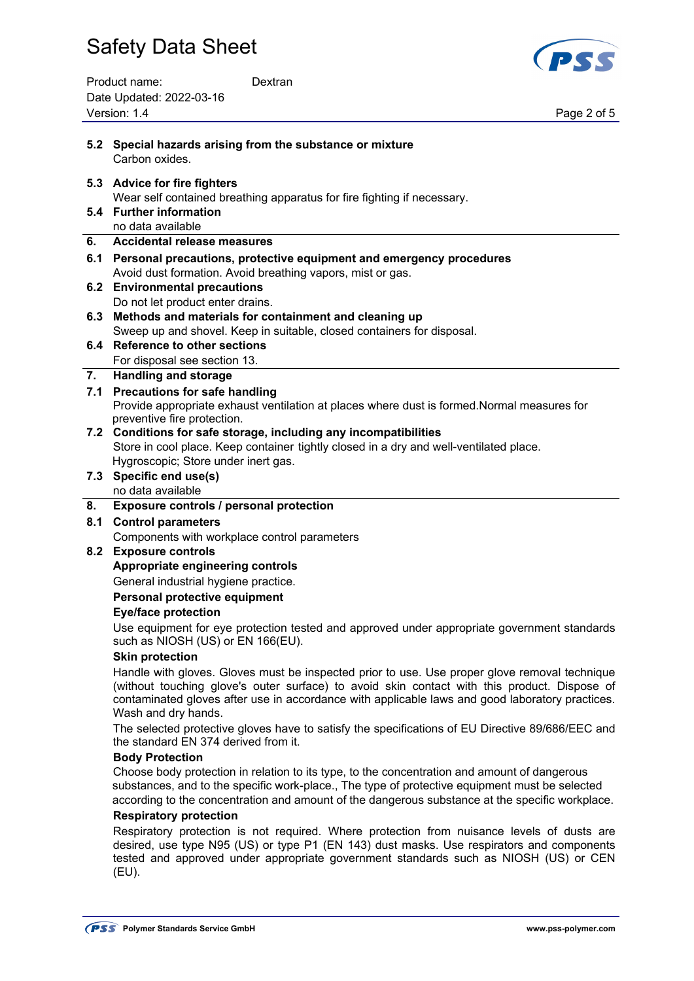Product name: Dextran Date Updated: 2022-03-16 Version: 1.4 Page 2 of 5



| 5.2 | Special hazards arising from the substance or mixture<br>Carbon oxides.                                                                                                                                                                                                                                                 |
|-----|-------------------------------------------------------------------------------------------------------------------------------------------------------------------------------------------------------------------------------------------------------------------------------------------------------------------------|
|     | 5.3 Advice for fire fighters<br>Wear self contained breathing apparatus for fire fighting if necessary.<br>5.4 Further information                                                                                                                                                                                      |
|     | no data available                                                                                                                                                                                                                                                                                                       |
| 6.  | <b>Accidental release measures</b>                                                                                                                                                                                                                                                                                      |
| 6.1 | Personal precautions, protective equipment and emergency procedures                                                                                                                                                                                                                                                     |
|     | Avoid dust formation. Avoid breathing vapors, mist or gas.                                                                                                                                                                                                                                                              |
|     | 6.2 Environmental precautions                                                                                                                                                                                                                                                                                           |
|     | Do not let product enter drains.                                                                                                                                                                                                                                                                                        |
|     | 6.3 Methods and materials for containment and cleaning up                                                                                                                                                                                                                                                               |
|     | Sweep up and shovel. Keep in suitable, closed containers for disposal.                                                                                                                                                                                                                                                  |
|     | 6.4 Reference to other sections                                                                                                                                                                                                                                                                                         |
|     | For disposal see section 13.                                                                                                                                                                                                                                                                                            |
| 7.  | <b>Handling and storage</b>                                                                                                                                                                                                                                                                                             |
| 7.1 | <b>Precautions for safe handling</b>                                                                                                                                                                                                                                                                                    |
|     | Provide appropriate exhaust ventilation at places where dust is formed. Normal measures for<br>preventive fire protection.                                                                                                                                                                                              |
|     | 7.2 Conditions for safe storage, including any incompatibilities                                                                                                                                                                                                                                                        |
|     | Store in cool place. Keep container tightly closed in a dry and well-ventilated place.<br>Hygroscopic; Store under inert gas.                                                                                                                                                                                           |
|     | 7.3 Specific end use(s)                                                                                                                                                                                                                                                                                                 |
|     | no data available                                                                                                                                                                                                                                                                                                       |
| 8.  | Exposure controls / personal protection                                                                                                                                                                                                                                                                                 |
| 8.1 | <b>Control parameters</b>                                                                                                                                                                                                                                                                                               |
|     | Components with workplace control parameters                                                                                                                                                                                                                                                                            |
| 8.2 | <b>Exposure controls</b>                                                                                                                                                                                                                                                                                                |
|     | Appropriate engineering controls                                                                                                                                                                                                                                                                                        |
|     | General industrial hygiene practice.                                                                                                                                                                                                                                                                                    |
|     | Personal protective equipment                                                                                                                                                                                                                                                                                           |
|     | <b>Eye/face protection</b>                                                                                                                                                                                                                                                                                              |
|     | Use equipment for eye protection tested and approved under appropriate government standards<br>such as NIOSH (US) or EN 166(EU).                                                                                                                                                                                        |
|     | <b>Skin protection</b>                                                                                                                                                                                                                                                                                                  |
|     | Handle with gloves. Gloves must be inspected prior to use. Use proper glove removal technique<br>(without touching glove's outer surface) to avoid skin contact with this product. Dispose of<br>contaminated gloves after use in accordance with applicable laws and good laboratory practices.<br>Wash and dry hands. |
|     | The selected protective gloves have to satisfy the specifications of EU Directive 89/686/EEC and<br>the standard EN 374 derived from it.                                                                                                                                                                                |
|     | <b>Body Protection</b>                                                                                                                                                                                                                                                                                                  |
|     | Choose body protection in relation to its type, to the concentration and amount of dangerous<br>substances, and to the specific work-place., The type of protective equipment must be selected<br>according to the concentration and amount of the dangerous substance at the specific workplace.                       |
|     | <b>Respiratory protection</b>                                                                                                                                                                                                                                                                                           |
|     | Respiratory protection is not required. Where protection from nuisance levels of dusts are<br>desired, use type N95 (US) or type P1 (EN 143) dust masks. Use respirators and components<br>tested and approved under appropriate government standards such as NIOSH (US) or CEN<br>(EU).                                |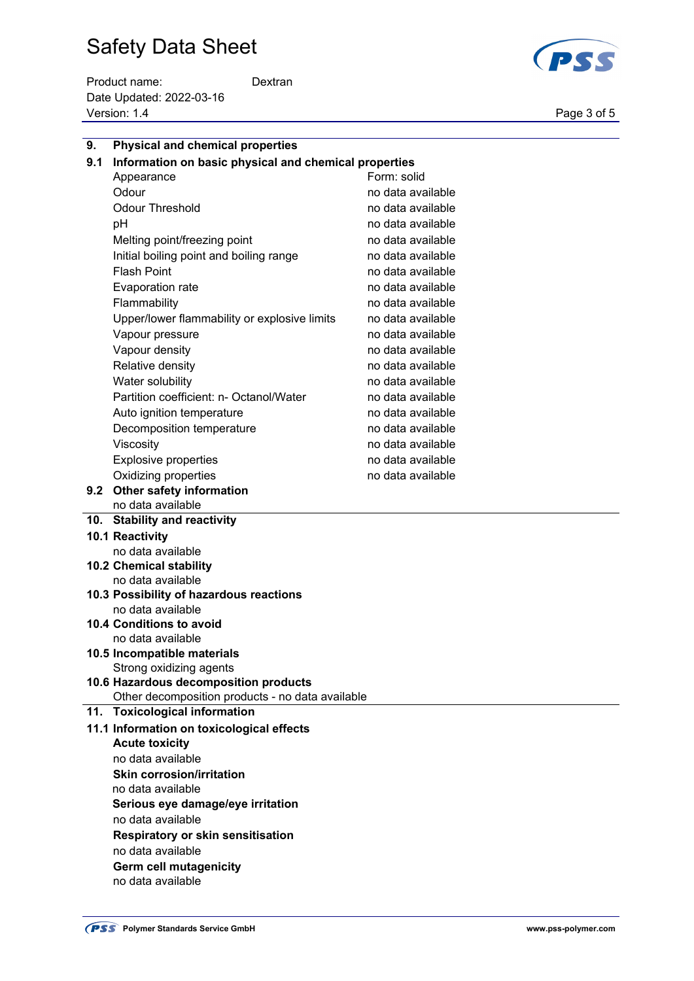Product name: Dextran Date Updated: 2022-03-16 Version: 1.4 Page 3 of 5



| 9.  | <b>Physical and chemical properties</b>                |                   |  |  |
|-----|--------------------------------------------------------|-------------------|--|--|
| 9.1 | Information on basic physical and chemical properties  |                   |  |  |
|     | Appearance                                             | Form: solid       |  |  |
|     | Odour                                                  | no data available |  |  |
|     | <b>Odour Threshold</b>                                 | no data available |  |  |
|     | рH                                                     | no data available |  |  |
|     | Melting point/freezing point                           | no data available |  |  |
|     | Initial boiling point and boiling range                | no data available |  |  |
|     | <b>Flash Point</b>                                     | no data available |  |  |
|     | <b>Evaporation rate</b>                                | no data available |  |  |
|     | Flammability                                           | no data available |  |  |
|     | Upper/lower flammability or explosive limits           | no data available |  |  |
|     | Vapour pressure                                        | no data available |  |  |
|     | Vapour density                                         | no data available |  |  |
|     | Relative density                                       | no data available |  |  |
|     | Water solubility                                       | no data available |  |  |
|     | Partition coefficient: n- Octanol/Water                | no data available |  |  |
|     | Auto ignition temperature                              | no data available |  |  |
|     | Decomposition temperature                              | no data available |  |  |
|     | Viscosity                                              | no data available |  |  |
|     | <b>Explosive properties</b>                            | no data available |  |  |
|     | Oxidizing properties                                   | no data available |  |  |
|     | 9.2 Other safety information                           |                   |  |  |
|     | no data available                                      |                   |  |  |
|     | 10. Stability and reactivity                           |                   |  |  |
|     | 10.1 Reactivity                                        |                   |  |  |
|     | no data available                                      |                   |  |  |
|     | <b>10.2 Chemical stability</b>                         |                   |  |  |
|     | no data available                                      |                   |  |  |
|     | 10.3 Possibility of hazardous reactions                |                   |  |  |
|     | no data available                                      |                   |  |  |
|     | <b>10.4 Conditions to avoid</b>                        |                   |  |  |
|     | no data available                                      |                   |  |  |
|     | 10.5 Incompatible materials<br>Strong oxidizing agents |                   |  |  |
|     | 10.6 Hazardous decomposition products                  |                   |  |  |
|     | Other decomposition products - no data available       |                   |  |  |
|     | 11. Toxicological information                          |                   |  |  |
|     | 11.1 Information on toxicological effects              |                   |  |  |
|     | <b>Acute toxicity</b>                                  |                   |  |  |
|     | no data available                                      |                   |  |  |
|     | <b>Skin corrosion/irritation</b>                       |                   |  |  |
|     | no data available                                      |                   |  |  |
|     | Serious eye damage/eye irritation                      |                   |  |  |
|     | no data available                                      |                   |  |  |
|     | Respiratory or skin sensitisation                      |                   |  |  |
|     | no data available                                      |                   |  |  |
|     | <b>Germ cell mutagenicity</b>                          |                   |  |  |

no data available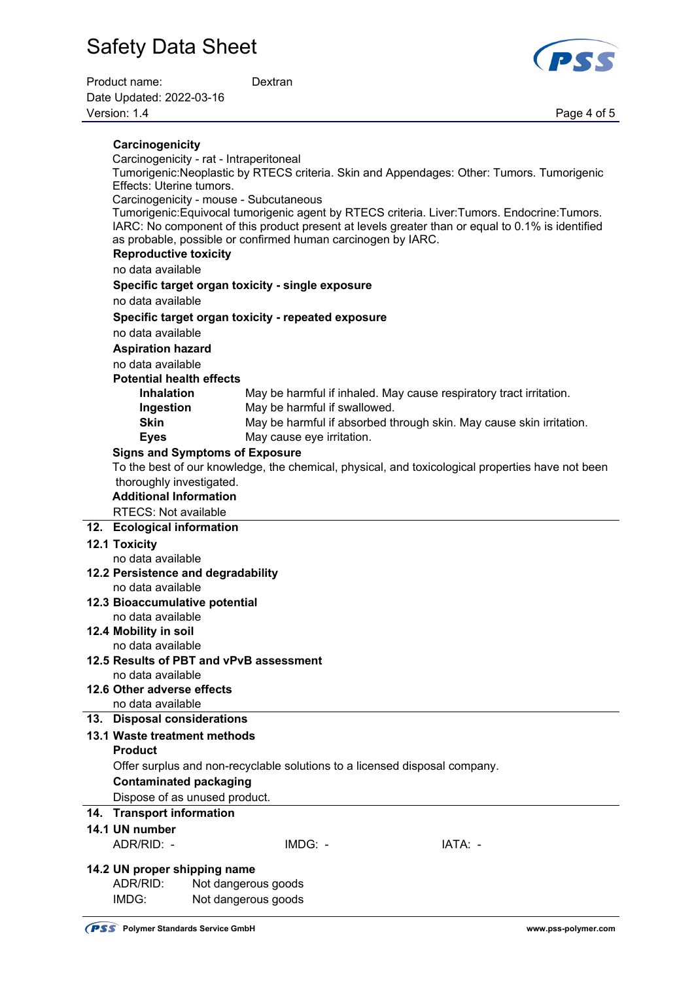



| Carcinogenicity                               |                                                                                                                                                                                                                                                                |  |  |  |
|-----------------------------------------------|----------------------------------------------------------------------------------------------------------------------------------------------------------------------------------------------------------------------------------------------------------------|--|--|--|
| Carcinogenicity - rat - Intraperitoneal       |                                                                                                                                                                                                                                                                |  |  |  |
|                                               | Tumorigenic:Neoplastic by RTECS criteria. Skin and Appendages: Other: Tumors. Tumorigenic                                                                                                                                                                      |  |  |  |
| Effects: Uterine tumors.                      |                                                                                                                                                                                                                                                                |  |  |  |
| Carcinogenicity - mouse - Subcutaneous        |                                                                                                                                                                                                                                                                |  |  |  |
|                                               | Tumorigenic:Equivocal tumorigenic agent by RTECS criteria. Liver:Tumors. Endocrine:Tumors.<br>IARC: No component of this product present at levels greater than or equal to 0.1% is identified<br>as probable, possible or confirmed human carcinogen by IARC. |  |  |  |
| <b>Reproductive toxicity</b>                  |                                                                                                                                                                                                                                                                |  |  |  |
| no data available                             |                                                                                                                                                                                                                                                                |  |  |  |
|                                               |                                                                                                                                                                                                                                                                |  |  |  |
| no data available                             | Specific target organ toxicity - single exposure                                                                                                                                                                                                               |  |  |  |
|                                               |                                                                                                                                                                                                                                                                |  |  |  |
| no data available                             | Specific target organ toxicity - repeated exposure                                                                                                                                                                                                             |  |  |  |
|                                               |                                                                                                                                                                                                                                                                |  |  |  |
| <b>Aspiration hazard</b><br>no data available |                                                                                                                                                                                                                                                                |  |  |  |
| <b>Potential health effects</b>               |                                                                                                                                                                                                                                                                |  |  |  |
| <b>Inhalation</b>                             | May be harmful if inhaled. May cause respiratory tract irritation.                                                                                                                                                                                             |  |  |  |
| Ingestion                                     | May be harmful if swallowed.                                                                                                                                                                                                                                   |  |  |  |
| <b>Skin</b>                                   | May be harmful if absorbed through skin. May cause skin irritation.                                                                                                                                                                                            |  |  |  |
| <b>Eyes</b>                                   | May cause eye irritation.                                                                                                                                                                                                                                      |  |  |  |
| <b>Signs and Symptoms of Exposure</b>         |                                                                                                                                                                                                                                                                |  |  |  |
|                                               | To the best of our knowledge, the chemical, physical, and toxicological properties have not been                                                                                                                                                               |  |  |  |
| thoroughly investigated.                      |                                                                                                                                                                                                                                                                |  |  |  |
| <b>Additional Information</b>                 |                                                                                                                                                                                                                                                                |  |  |  |
| <b>RTECS: Not available</b>                   |                                                                                                                                                                                                                                                                |  |  |  |
| 12. Ecological information                    |                                                                                                                                                                                                                                                                |  |  |  |
| <b>12.1 Toxicity</b>                          |                                                                                                                                                                                                                                                                |  |  |  |
| no data available                             |                                                                                                                                                                                                                                                                |  |  |  |
| 12.2 Persistence and degradability            |                                                                                                                                                                                                                                                                |  |  |  |
| no data available                             |                                                                                                                                                                                                                                                                |  |  |  |
| 12.3 Bioaccumulative potential                |                                                                                                                                                                                                                                                                |  |  |  |
| no data available                             |                                                                                                                                                                                                                                                                |  |  |  |
| 12.4 Mobility in soil                         |                                                                                                                                                                                                                                                                |  |  |  |
| no data available                             |                                                                                                                                                                                                                                                                |  |  |  |
|                                               |                                                                                                                                                                                                                                                                |  |  |  |
| 12.5 Results of PBT and vPvB assessment       |                                                                                                                                                                                                                                                                |  |  |  |
| no data available                             |                                                                                                                                                                                                                                                                |  |  |  |
| 12.6 Other adverse effects                    |                                                                                                                                                                                                                                                                |  |  |  |
| no data available                             |                                                                                                                                                                                                                                                                |  |  |  |
| 13. Disposal considerations                   |                                                                                                                                                                                                                                                                |  |  |  |
| 13.1 Waste treatment methods                  |                                                                                                                                                                                                                                                                |  |  |  |
| <b>Product</b>                                |                                                                                                                                                                                                                                                                |  |  |  |
|                                               | Offer surplus and non-recyclable solutions to a licensed disposal company.                                                                                                                                                                                     |  |  |  |
| <b>Contaminated packaging</b>                 |                                                                                                                                                                                                                                                                |  |  |  |
| Dispose of as unused product.                 |                                                                                                                                                                                                                                                                |  |  |  |
| 14. Transport information                     |                                                                                                                                                                                                                                                                |  |  |  |
| 14.1 UN number                                |                                                                                                                                                                                                                                                                |  |  |  |
| ADR/RID: -                                    | IMDG: -<br>IATA: -                                                                                                                                                                                                                                             |  |  |  |
| 14.2 UN proper shipping name                  |                                                                                                                                                                                                                                                                |  |  |  |
| ADR/RID:<br>IMDG:                             | Not dangerous goods<br>Not dangerous goods                                                                                                                                                                                                                     |  |  |  |